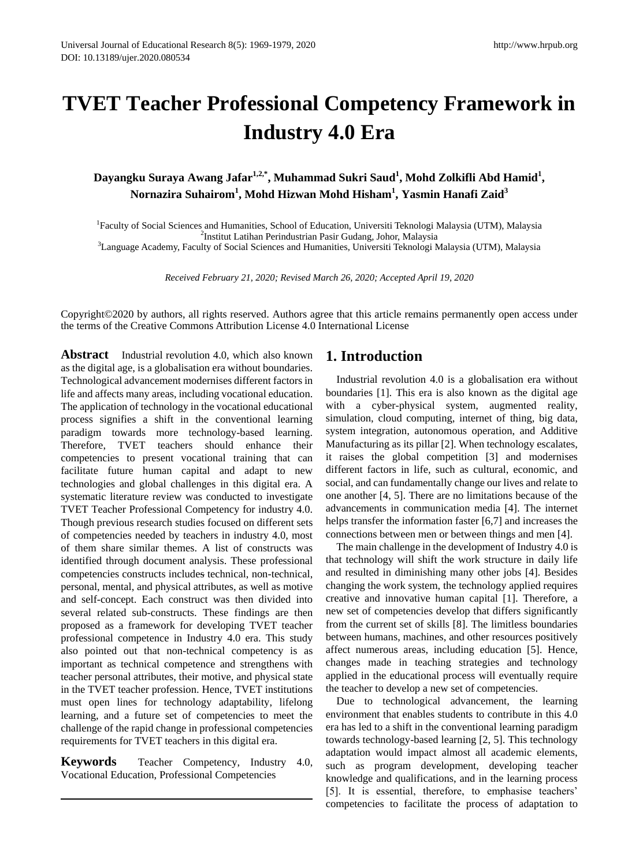# **TVET Teacher Professional Competency Framework in Industry 4.0 Era**

# **Dayangku Suraya Awang Jafar1,2,\*, Muhammad Sukri Saud<sup>1</sup> , Mohd Zolkifli Abd Hamid<sup>1</sup> , Nornazira Suhairom<sup>1</sup> , Mohd Hizwan Mohd Hisham<sup>1</sup> , Yasmin Hanafi Zaid<sup>3</sup>**

<sup>1</sup>Faculty of Social Sciences and Humanities, School of Education, Universiti Teknologi Malaysia (UTM), Malaysia 2 Institut Latihan Perindustrian Pasir Gudang, Johor, Malaysia <sup>3</sup>Language Academy, Faculty of Social Sciences and Humanities, Universiti Teknologi Malaysia (UTM), Malaysia

*Received February 21, 2020; Revised March 26, 2020; Accepted April 19, 2020*

Copyright©2020 by authors, all rights reserved. Authors agree that this article remains permanently open access under the terms of the Creative Commons Attribution License 4.0 International License

**Abstract** Industrial revolution 4.0, which also known as the digital age, is a globalisation era without boundaries. Technological advancement modernises different factors in life and affects many areas, including vocational education. The application of technology in the vocational educational process signifies a shift in the conventional learning paradigm towards more technology-based learning. Therefore, TVET teachers should enhance their competencies to present vocational training that can facilitate future human capital and adapt to new technologies and global challenges in this digital era. A systematic literature review was conducted to investigate TVET Teacher Professional Competency for industry 4.0. Though previous research studies focused on different sets of competencies needed by teachers in industry 4.0, most of them share similar themes. A list of constructs was identified through document analysis. These professional competencies constructs includes technical, non-technical, personal, mental, and physical attributes, as well as motive and self-concept. Each construct was then divided into several related sub-constructs. These findings are then proposed as a framework for developing TVET teacher professional competence in Industry 4.0 era. This study also pointed out that non-technical competency is as important as technical competence and strengthens with teacher personal attributes, their motive, and physical state in the TVET teacher profession. Hence, TVET institutions must open lines for technology adaptability, lifelong learning, and a future set of competencies to meet the challenge of the rapid change in professional competencies requirements for TVET teachers in this digital era.

**Keywords** Teacher Competency, Industry 4.0, Vocational Education, Professional Competencies

## **1. Introduction**

Industrial revolution 4.0 is a globalisation era without boundaries [1]. This era is also known as the digital age with a cyber-physical system, augmented reality, simulation, cloud computing, internet of thing, big data, system integration, autonomous operation, and Additive Manufacturing as its pillar [2]. When technology escalates, it raises the global competition [3] and modernises different factors in life, such as cultural, economic, and social, and can fundamentally change our lives and relate to one another [4, 5]. There are no limitations because of the advancements in communication media [4]. The internet helps transfer the information faster [6,7] and increases the connections between men or between things and men [4].

The main challenge in the development of Industry 4.0 is that technology will shift the work structure in daily life and resulted in diminishing many other jobs [4]. Besides changing the work system, the technology applied requires creative and innovative human capital [1]. Therefore, a new set of competencies develop that differs significantly from the current set of skills [8]. The limitless boundaries between humans, machines, and other resources positively affect numerous areas, including education [5]. Hence, changes made in teaching strategies and technology applied in the educational process will eventually require the teacher to develop a new set of competencies.

Due to technological advancement, the learning environment that enables students to contribute in this 4.0 era has led to a shift in the conventional learning paradigm towards technology-based learning [2, 5]. This technology adaptation would impact almost all academic elements, such as program development, developing teacher knowledge and qualifications, and in the learning process [5]. It is essential, therefore, to emphasise teachers' competencies to facilitate the process of adaptation to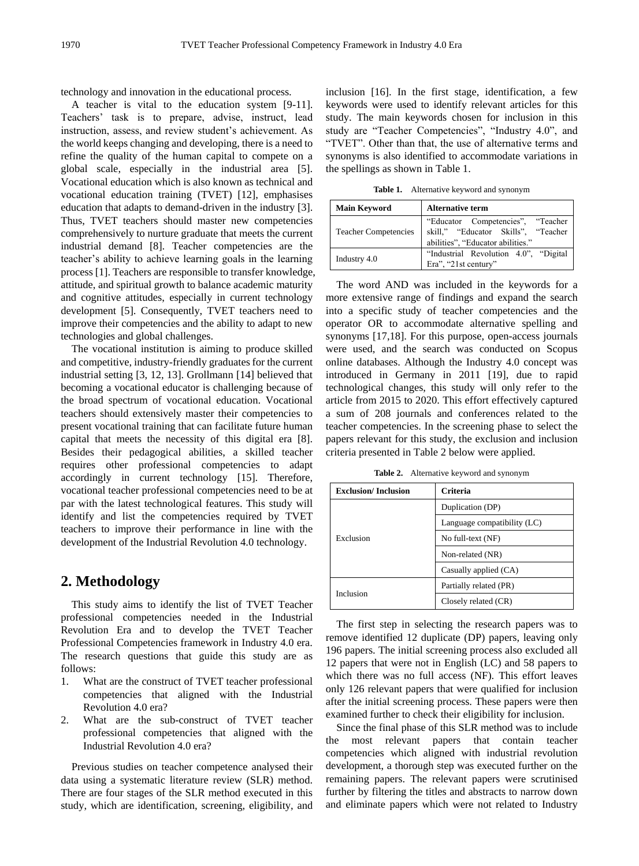technology and innovation in the educational process.

A teacher is vital to the education system [9-11]. Teachers' task is to prepare, advise, instruct, lead instruction, assess, and review student's achievement. As the world keeps changing and developing, there is a need to refine the quality of the human capital to compete on a global scale, especially in the industrial area [5]. Vocational education which is also known as technical and vocational education training (TVET) [12], emphasises education that adapts to demand-driven in the industry [3]. Thus, TVET teachers should master new competencies comprehensively to nurture graduate that meets the current industrial demand [8]. Teacher competencies are the teacher's ability to achieve learning goals in the learning process [1]. Teachers are responsible to transfer knowledge, attitude, and spiritual growth to balance academic maturity and cognitive attitudes, especially in current technology development [5]. Consequently, TVET teachers need to improve their competencies and the ability to adapt to new technologies and global challenges.

The vocational institution is aiming to produce skilled and competitive, industry-friendly graduates for the current industrial setting [3, 12, 13]. Grollmann [14] believed that becoming a vocational educator is challenging because of the broad spectrum of vocational education. Vocational teachers should extensively master their competencies to present vocational training that can facilitate future human capital that meets the necessity of this digital era [8]. Besides their pedagogical abilities, a skilled teacher requires other professional competencies to adapt accordingly in current technology [15]. Therefore, vocational teacher professional competencies need to be at par with the latest technological features. This study will identify and list the competencies required by TVET teachers to improve their performance in line with the development of the Industrial Revolution 4.0 technology.

# **2. Methodology**

This study aims to identify the list of TVET Teacher professional competencies needed in the Industrial Revolution Era and to develop the TVET Teacher Professional Competencies framework in Industry 4.0 era. The research questions that guide this study are as follows:

- 1. What are the construct of TVET teacher professional competencies that aligned with the Industrial Revolution 4.0 era?
- 2. What are the sub-construct of TVET teacher professional competencies that aligned with the Industrial Revolution 4.0 era?

Previous studies on teacher competence analysed their data using a systematic literature review (SLR) method. There are four stages of the SLR method executed in this study, which are identification, screening, eligibility, and

inclusion [16]. In the first stage, identification, a few keywords were used to identify relevant articles for this study. The main keywords chosen for inclusion in this study are "Teacher Competencies", "Industry 4.0", and "TVET". Other than that, the use of alternative terms and synonyms is also identified to accommodate variations in the spellings as shown in Table 1.

**Table 1.** Alternative keyword and synonym

| <b>Main Keyword</b>         | <b>Alternative term</b>               |  |  |  |
|-----------------------------|---------------------------------------|--|--|--|
|                             | "Educator Competencies", "Teacher     |  |  |  |
| <b>Teacher Competencies</b> | skill," "Educator Skills", "Teacher   |  |  |  |
|                             | abilities", "Educator abilities."     |  |  |  |
| Industry 4.0                | "Industrial Revolution 4.0", "Digital |  |  |  |
|                             | Era", "21st century"                  |  |  |  |

The word AND was included in the keywords for a more extensive range of findings and expand the search into a specific study of teacher competencies and the operator OR to accommodate alternative spelling and synonyms [17,18]. For this purpose, open-access journals were used, and the search was conducted on Scopus online databases. Although the Industry 4.0 concept was introduced in Germany in 2011 [19], due to rapid technological changes, this study will only refer to the article from 2015 to 2020. This effort effectively captured a sum of 208 journals and conferences related to the teacher competencies. In the screening phase to select the papers relevant for this study, the exclusion and inclusion criteria presented in Table 2 below were applied.

**Table 2.** Alternative keyword and synonym

| <b>Exclusion/Inclusion</b> | Criteria                    |
|----------------------------|-----------------------------|
|                            | Duplication (DP)            |
|                            | Language compatibility (LC) |
| Exclusion                  | No full-text (NF)           |
|                            | Non-related (NR)            |
|                            | Casually applied (CA)       |
|                            | Partially related (PR)      |
| Inclusion                  | Closely related (CR)        |

The first step in selecting the research papers was to remove identified 12 duplicate (DP) papers, leaving only 196 papers. The initial screening process also excluded all 12 papers that were not in English (LC) and 58 papers to which there was no full access (NF). This effort leaves only 126 relevant papers that were qualified for inclusion after the initial screening process. These papers were then examined further to check their eligibility for inclusion.

Since the final phase of this SLR method was to include the most relevant papers that contain teacher competencies which aligned with industrial revolution development, a thorough step was executed further on the remaining papers. The relevant papers were scrutinised further by filtering the titles and abstracts to narrow down and eliminate papers which were not related to Industry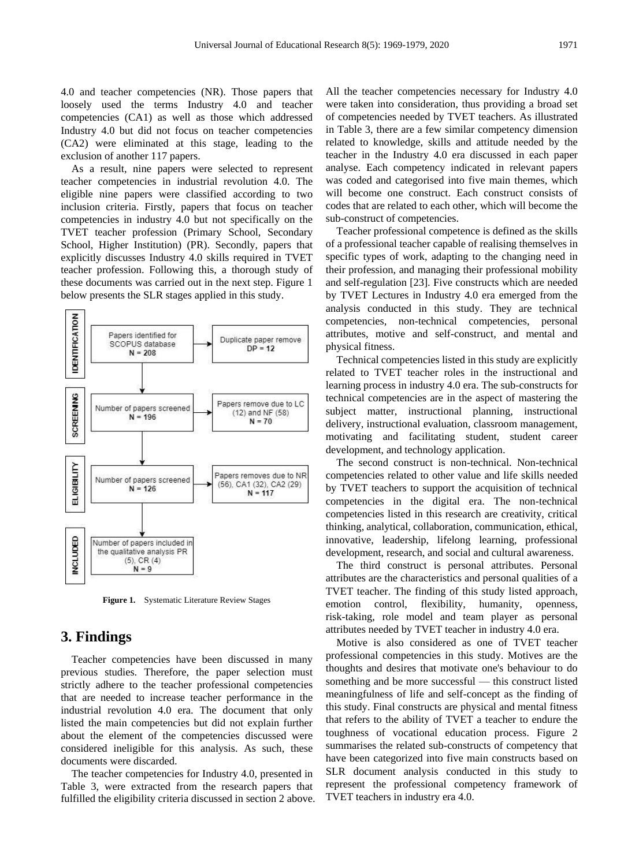4.0 and teacher competencies (NR). Those papers that loosely used the terms Industry 4.0 and teacher competencies (CA1) as well as those which addressed Industry 4.0 but did not focus on teacher competencies (CA2) were eliminated at this stage, leading to the exclusion of another 117 papers.

As a result, nine papers were selected to represent teacher competencies in industrial revolution 4.0. The eligible nine papers were classified according to two inclusion criteria. Firstly, papers that focus on teacher competencies in industry 4.0 but not specifically on the TVET teacher profession (Primary School, Secondary School, Higher Institution) (PR). Secondly, papers that explicitly discusses Industry 4.0 skills required in TVET teacher profession. Following this, a thorough study of these documents was carried out in the next step. Figure 1 below presents the SLR stages applied in this study.



**Figure 1.** Systematic Literature Review Stages

## **3. Findings**

Teacher competencies have been discussed in many previous studies. Therefore, the paper selection must strictly adhere to the teacher professional competencies that are needed to increase teacher performance in the industrial revolution 4.0 era. The document that only listed the main competencies but did not explain further about the element of the competencies discussed were considered ineligible for this analysis. As such, these documents were discarded.

The teacher competencies for Industry 4.0, presented in Table 3, were extracted from the research papers that fulfilled the eligibility criteria discussed in section 2 above. All the teacher competencies necessary for Industry 4.0 were taken into consideration, thus providing a broad set of competencies needed by TVET teachers. As illustrated in Table 3, there are a few similar competency dimension related to knowledge, skills and attitude needed by the teacher in the Industry 4.0 era discussed in each paper analyse. Each competency indicated in relevant papers was coded and categorised into five main themes, which will become one construct. Each construct consists of codes that are related to each other, which will become the sub-construct of competencies.

Teacher professional competence is defined as the skills of a professional teacher capable of realising themselves in specific types of work, adapting to the changing need in their profession, and managing their professional mobility and self-regulation [23]. Five constructs which are needed by TVET Lectures in Industry 4.0 era emerged from the analysis conducted in this study. They are technical competencies, non-technical competencies, personal attributes, motive and self-construct, and mental and physical fitness.

Technical competencies listed in this study are explicitly related to TVET teacher roles in the instructional and learning process in industry 4.0 era. The sub-constructs for technical competencies are in the aspect of mastering the subject matter, instructional planning, instructional delivery, instructional evaluation, classroom management, motivating and facilitating student, student career development, and technology application.

The second construct is non-technical. Non-technical competencies related to other value and life skills needed by TVET teachers to support the acquisition of technical competencies in the digital era. The non-technical competencies listed in this research are creativity, critical thinking, analytical, collaboration, communication, ethical, innovative, leadership, lifelong learning, professional development, research, and social and cultural awareness.

The third construct is personal attributes. Personal attributes are the characteristics and personal qualities of a TVET teacher. The finding of this study listed approach, emotion control, flexibility, humanity, openness, risk-taking, role model and team player as personal attributes needed by TVET teacher in industry 4.0 era.

Motive is also considered as one of TVET teacher professional competencies in this study. Motives are the thoughts and desires that motivate one's behaviour to do something and be more successful — this construct listed meaningfulness of life and self-concept as the finding of this study. Final constructs are physical and mental fitness that refers to the ability of TVET a teacher to endure the toughness of vocational education process. Figure 2 summarises the related sub-constructs of competency that have been categorized into five main constructs based on SLR document analysis conducted in this study to represent the professional competency framework of TVET teachers in industry era 4.0.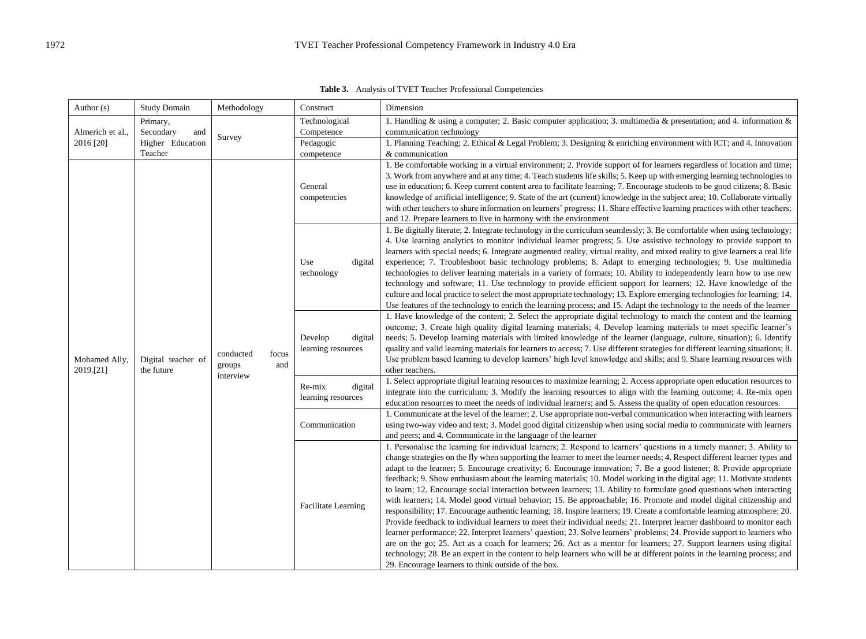**Table 3.** Analysis of TVET Teacher Professional Competencies

| Author (s)                                       | <b>Study Domain</b>                   | Methodology                                      | Construct                                                                                                                                     | Dimension                                                                                                                                                                                                                                                                                                                                                                                                                                                                                                                                                                                                                                                                                                                                                                                                                                                                                                                                                                                                                                                                                                                                                                                                                                                                                                                                                                                                                                                |
|--------------------------------------------------|---------------------------------------|--------------------------------------------------|-----------------------------------------------------------------------------------------------------------------------------------------------|----------------------------------------------------------------------------------------------------------------------------------------------------------------------------------------------------------------------------------------------------------------------------------------------------------------------------------------------------------------------------------------------------------------------------------------------------------------------------------------------------------------------------------------------------------------------------------------------------------------------------------------------------------------------------------------------------------------------------------------------------------------------------------------------------------------------------------------------------------------------------------------------------------------------------------------------------------------------------------------------------------------------------------------------------------------------------------------------------------------------------------------------------------------------------------------------------------------------------------------------------------------------------------------------------------------------------------------------------------------------------------------------------------------------------------------------------------|
| Primary,<br>Almerich et al.,<br>Secondary<br>and |                                       | Technological<br>Competence                      | 1. Handling & using a computer; 2. Basic computer application; 3. multimedia & presentation; and 4. information &<br>communication technology |                                                                                                                                                                                                                                                                                                                                                                                                                                                                                                                                                                                                                                                                                                                                                                                                                                                                                                                                                                                                                                                                                                                                                                                                                                                                                                                                                                                                                                                          |
| 2016 [20]                                        | Survey<br>Higher Education<br>Teacher | Pedagogic<br>competence                          | 1. Planning Teaching; 2. Ethical & Legal Problem; 3. Designing & enriching environment with ICT; and 4. Innovation<br>& communication         |                                                                                                                                                                                                                                                                                                                                                                                                                                                                                                                                                                                                                                                                                                                                                                                                                                                                                                                                                                                                                                                                                                                                                                                                                                                                                                                                                                                                                                                          |
| Mohamed Ally,<br>the future<br>2019.[21]         |                                       |                                                  | General<br>competencies                                                                                                                       | 1. Be comfortable working in a virtual environment; 2. Provide support of for learners regardless of location and time;<br>3. Work from anywhere and at any time; 4. Teach students life skills; 5. Keep up with emerging learning technologies to<br>use in education; 6. Keep current content area to facilitate learning; 7. Encourage students to be good citizens; 8. Basic<br>knowledge of artificial intelligence; 9. State of the art (current) knowledge in the subject area; 10. Collaborate virtually<br>with other teachers to share information on learners' progress; 11. Share effective learning practices with other teachers;<br>and 12. Prepare learners to live in harmony with the environment                                                                                                                                                                                                                                                                                                                                                                                                                                                                                                                                                                                                                                                                                                                                      |
|                                                  |                                       |                                                  | Use<br>digital<br>technology                                                                                                                  | 1. Be digitally literate; 2. Integrate technology in the curriculum seamlessly; 3. Be comfortable when using technology;<br>4. Use learning analytics to monitor individual learner progress; 5. Use assistive technology to provide support to<br>learners with special needs; 6. Integrate augmented reality, virtual reality, and mixed reality to give learners a real life<br>experience; 7. Troubleshoot basic technology problems; 8. Adapt to emerging technologies; 9. Use multimedia<br>technologies to deliver learning materials in a variety of formats; 10. Ability to independently learn how to use new<br>technology and software; 11. Use technology to provide efficient support for learners; 12. Have knowledge of the<br>culture and local practice to select the most appropriate technology; 13. Explore emerging technologies for learning; 14.<br>Use features of the technology to enrich the learning process; and 15. Adapt the technology to the needs of the learner                                                                                                                                                                                                                                                                                                                                                                                                                                                      |
|                                                  | Digital teacher of                    | conducted<br>focus<br>groups<br>and<br>interview | Develop<br>digital<br>learning resources                                                                                                      | 1. Have knowledge of the content; 2. Select the appropriate digital technology to match the content and the learning<br>outcome; 3. Create high quality digital learning materials; 4. Develop learning materials to meet specific learner's<br>needs; 5. Develop learning materials with limited knowledge of the learner (language, culture, situation); 6. Identify<br>quality and valid learning materials for learners to access; 7. Use different strategies for different learning situations; 8.<br>Use problem based learning to develop learners' high level knowledge and skills; and 9. Share learning resources with<br>other teachers.                                                                                                                                                                                                                                                                                                                                                                                                                                                                                                                                                                                                                                                                                                                                                                                                     |
|                                                  |                                       |                                                  | Re-mix<br>digital<br>learning resources                                                                                                       | 1. Select appropriate digital learning resources to maximize learning; 2. Access appropriate open education resources to<br>integrate into the curriculum; 3. Modify the learning resources to align with the learning outcome; 4. Re-mix open<br>education resources to meet the needs of individual learners; and 5. Assess the quality of open education resources.                                                                                                                                                                                                                                                                                                                                                                                                                                                                                                                                                                                                                                                                                                                                                                                                                                                                                                                                                                                                                                                                                   |
|                                                  |                                       |                                                  | Communication                                                                                                                                 | 1. Communicate at the level of the learner; 2. Use appropriate non-verbal communication when interacting with learners<br>using two-way video and text; 3. Model good digital citizenship when using social media to communicate with learners<br>and peers; and 4. Communicate in the language of the learner                                                                                                                                                                                                                                                                                                                                                                                                                                                                                                                                                                                                                                                                                                                                                                                                                                                                                                                                                                                                                                                                                                                                           |
|                                                  |                                       |                                                  | <b>Facilitate Learning</b>                                                                                                                    | 1. Personalise the learning for individual learners; 2. Respond to learners' questions in a timely manner; 3. Ability to<br>change strategies on the fly when supporting the learner to meet the learner needs; 4. Respect different learner types and<br>adapt to the learner; 5. Encourage creativity; 6. Encourage innovation; 7. Be a good listener; 8. Provide appropriate<br>feedback; 9. Show enthusiasm about the learning materials; 10. Model working in the digital age; 11. Motivate students<br>to learn; 12. Encourage social interaction between learners; 13. Ability to formulate good questions when interacting<br>with learners; 14. Model good virtual behavior; 15. Be approachable; 16. Promote and model digital citizenship and<br>responsibility; 17. Encourage authentic learning; 18. Inspire learners; 19. Create a comfortable learning atmosphere; 20.<br>Provide feedback to individual learners to meet their individual needs; 21. Interpret learner dashboard to monitor each<br>learner performance; 22. Interpret learners' question; 23. Solve learners' problems; 24. Provide support to learners who<br>are on the go; 25. Act as a coach for learners; 26. Act as a mentor for learners; 27. Support learners using digital<br>technology; 28. Be an expert in the content to help learners who will be at different points in the learning process; and<br>29. Encourage learners to think outside of the box. |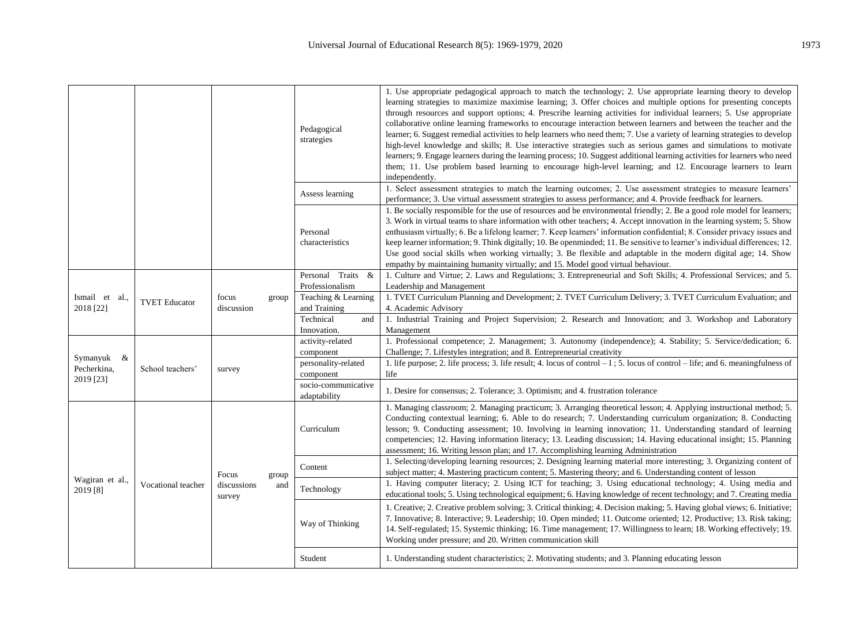|                              |                      |                                         |                                               | Pedagogical<br>strategies                                                                                                                                                                                              | 1. Use appropriate pedagogical approach to match the technology; 2. Use appropriate learning theory to develop<br>learning strategies to maximize maximise learning; 3. Offer choices and multiple options for presenting concepts<br>through resources and support options; 4. Prescribe learning activities for individual learners; 5. Use appropriate<br>collaborative online learning frameworks to encourage interaction between learners and between the teacher and the<br>learner; 6. Suggest remedial activities to help learners who need them; 7. Use a variety of learning strategies to develop<br>high-level knowledge and skills; 8. Use interactive strategies such as serious games and simulations to motivate<br>learners; 9. Engage learners during the learning process; 10. Suggest additional learning activities for learners who need<br>them; 11. Use problem based learning to encourage high-level learning; and 12. Encourage learners to learn<br>independently. |
|------------------------------|----------------------|-----------------------------------------|-----------------------------------------------|------------------------------------------------------------------------------------------------------------------------------------------------------------------------------------------------------------------------|-------------------------------------------------------------------------------------------------------------------------------------------------------------------------------------------------------------------------------------------------------------------------------------------------------------------------------------------------------------------------------------------------------------------------------------------------------------------------------------------------------------------------------------------------------------------------------------------------------------------------------------------------------------------------------------------------------------------------------------------------------------------------------------------------------------------------------------------------------------------------------------------------------------------------------------------------------------------------------------------------|
|                              |                      |                                         |                                               | Assess learning                                                                                                                                                                                                        | 1. Select assessment strategies to match the learning outcomes; 2. Use assessment strategies to measure learners'<br>performance; 3. Use virtual assessment strategies to assess performance; and 4. Provide feedback for learners.                                                                                                                                                                                                                                                                                                                                                                                                                                                                                                                                                                                                                                                                                                                                                             |
|                              |                      |                                         |                                               | Personal<br>characteristics                                                                                                                                                                                            | 1. Be socially responsible for the use of resources and be environmental friendly; 2. Be a good role model for learners;<br>3. Work in virtual teams to share information with other teachers; 4. Accept innovation in the learning system; 5. Show<br>enthusiasm virtually; 6. Be a lifelong learner; 7. Keep learners' information confidential; 8. Consider privacy issues and<br>keep learner information; 9. Think digitally; 10. Be openminded; 11. Be sensitive to learner's individual differences; 12.<br>Use good social skills when working virtually; 3. Be flexible and adaptable in the modern digital age; 14. Show<br>empathy by maintaining humanity virtually; and 15. Model good virtual behaviour.                                                                                                                                                                                                                                                                          |
|                              |                      |                                         |                                               | Personal Traits<br>&<br>Professionalism                                                                                                                                                                                | 1. Culture and Virtue; 2. Laws and Regulations; 3. Entrepreneurial and Soft Skills; 4. Professional Services; and 5.<br>Leadership and Management                                                                                                                                                                                                                                                                                                                                                                                                                                                                                                                                                                                                                                                                                                                                                                                                                                               |
| Ismail et al.,<br>2018 [22]  | <b>TVET Educator</b> | focus<br>group<br>discussion            | Teaching & Learning<br>and Training           | 1. TVET Curriculum Planning and Development; 2. TVET Curriculum Delivery; 3. TVET Curriculum Evaluation; and<br>4. Academic Advisory                                                                                   |                                                                                                                                                                                                                                                                                                                                                                                                                                                                                                                                                                                                                                                                                                                                                                                                                                                                                                                                                                                                 |
|                              |                      |                                         |                                               | Technical<br>and<br>Innovation.                                                                                                                                                                                        | 1. Industrial Training and Project Supervision; 2. Research and Innovation; and 3. Workshop and Laboratory<br>Management                                                                                                                                                                                                                                                                                                                                                                                                                                                                                                                                                                                                                                                                                                                                                                                                                                                                        |
|                              | School teachers'     | survey                                  |                                               | activity-related                                                                                                                                                                                                       | 1. Professional competence; 2. Management; 3. Autonomy (independence); 4. Stability; 5. Service/dedication; 6.                                                                                                                                                                                                                                                                                                                                                                                                                                                                                                                                                                                                                                                                                                                                                                                                                                                                                  |
| Symanyuk $\&$<br>Pecherkina, |                      |                                         | component<br>personality-related<br>component | Challenge; 7. Lifestyles integration; and 8. Entrepreneurial creativity<br>1. life purpose; 2. life process; 3. life result; 4. locus of control $-1$ ; 5. locus of control $-$ life; and 6. meaningfulness of<br>life |                                                                                                                                                                                                                                                                                                                                                                                                                                                                                                                                                                                                                                                                                                                                                                                                                                                                                                                                                                                                 |
| 2019 [23]                    |                      |                                         |                                               | socio-communicative<br>adaptability                                                                                                                                                                                    | 1. Desire for consensus; 2. Tolerance; 3. Optimism; and 4. frustration tolerance                                                                                                                                                                                                                                                                                                                                                                                                                                                                                                                                                                                                                                                                                                                                                                                                                                                                                                                |
| Wagiran et al.,<br>2019 [8]  | Vocational teacher   | Focus<br>group<br>discussions<br>survey |                                               | Curriculum                                                                                                                                                                                                             | 1. Managing classroom; 2. Managing practicum; 3. Arranging theoretical lesson; 4. Applying instructional method; 5.<br>Conducting contextual learning; 6. Able to do research; 7. Understanding curriculum organization; 8. Conducting<br>lesson; 9. Conducting assessment; 10. Involving in learning innovation; 11. Understanding standard of learning<br>competencies; 12. Having information literacy; 13. Leading discussion; 14. Having educational insight; 15. Planning<br>assessment; 16. Writing lesson plan; and 17. Accomplishing learning Administration                                                                                                                                                                                                                                                                                                                                                                                                                           |
|                              |                      |                                         |                                               | Content                                                                                                                                                                                                                | 1. Selecting/developing learning resources; 2. Designing learning material more interesting; 3. Organizing content of<br>subject matter; 4. Mastering practicum content; 5. Mastering theory; and 6. Understanding content of lesson                                                                                                                                                                                                                                                                                                                                                                                                                                                                                                                                                                                                                                                                                                                                                            |
|                              |                      |                                         | and                                           | Technology                                                                                                                                                                                                             | 1. Having computer literacy; 2. Using ICT for teaching; 3. Using educational technology; 4. Using media and<br>educational tools; 5. Using technological equipment; 6. Having knowledge of recent technology; and 7. Creating media                                                                                                                                                                                                                                                                                                                                                                                                                                                                                                                                                                                                                                                                                                                                                             |
|                              |                      |                                         |                                               | Way of Thinking                                                                                                                                                                                                        | 1. Creative; 2. Creative problem solving; 3. Critical thinking; 4. Decision making; 5. Having global views; 6. Initiative;<br>7. Innovative; 8. Interactive; 9. Leadership; 10. Open minded; 11. Outcome oriented; 12. Productive; 13. Risk taking;<br>14. Self-regulated; 15. Systemic thinking; 16. Time management; 17. Willingness to learn; 18. Working effectively; 19.<br>Working under pressure; and 20. Written communication skill                                                                                                                                                                                                                                                                                                                                                                                                                                                                                                                                                    |
|                              |                      |                                         |                                               | Student                                                                                                                                                                                                                | 1. Understanding student characteristics; 2. Motivating students; and 3. Planning educating lesson                                                                                                                                                                                                                                                                                                                                                                                                                                                                                                                                                                                                                                                                                                                                                                                                                                                                                              |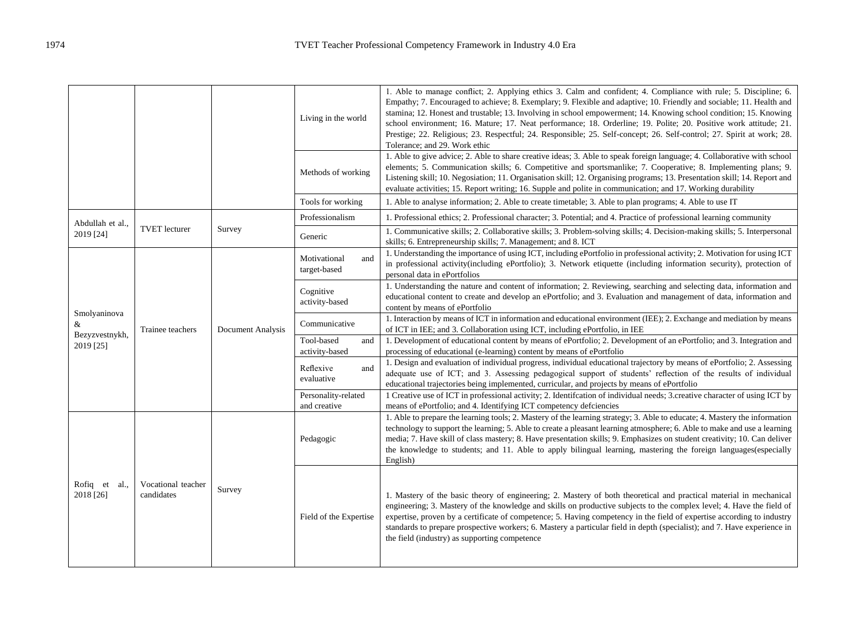|                               |                                  |                   | Living in the world                 | 1. Able to manage conflict; 2. Applying ethics 3. Calm and confident; 4. Compliance with rule; 5. Discipline; 6.<br>Empathy; 7. Encouraged to achieve; 8. Exemplary; 9. Flexible and adaptive; 10. Friendly and sociable; 11. Health and<br>stamina; 12. Honest and trustable; 13. Involving in school empowerment; 14. Knowing school condition; 15. Knowing<br>school environment; 16. Mature; 17. Neat performance; 18. Orderline; 19. Polite; 20. Positive work attitude; 21.<br>Prestige; 22. Religious; 23. Respectful; 24. Responsible; 25. Self-concept; 26. Self-control; 27. Spirit at work; 28.<br>Tolerance; and 29. Work ethic |
|-------------------------------|----------------------------------|-------------------|-------------------------------------|---------------------------------------------------------------------------------------------------------------------------------------------------------------------------------------------------------------------------------------------------------------------------------------------------------------------------------------------------------------------------------------------------------------------------------------------------------------------------------------------------------------------------------------------------------------------------------------------------------------------------------------------|
|                               |                                  |                   | Methods of working                  | 1. Able to give advice; 2. Able to share creative ideas; 3. Able to speak foreign language; 4. Collaborative with school<br>elements; 5. Communication skills; 6. Competitive and sportsmanlike; 7. Cooperative; 8. Implementing plans; 9.<br>Listening skill; 10. Negosiation; 11. Organisation skill; 12. Organising programs; 13. Presentation skill; 14. Report and<br>evaluate activities; 15. Report writing; 16. Supple and polite in communication; and 17. Working durability                                                                                                                                                      |
|                               |                                  |                   | Tools for working                   | 1. Able to analyse information; 2. Able to create timetable; 3. Able to plan programs; 4. Able to use IT                                                                                                                                                                                                                                                                                                                                                                                                                                                                                                                                    |
| Abdullah et al.,              |                                  |                   | Professionalism                     | 1. Professional ethics; 2. Professional character; 3. Potential; and 4. Practice of professional learning community                                                                                                                                                                                                                                                                                                                                                                                                                                                                                                                         |
| 2019 [24]                     | <b>TVET</b> lecturer             | Survey            | Generic                             | 1. Communicative skills; 2. Collaborative skills; 3. Problem-solving skills; 4. Decision-making skills; 5. Interpersonal<br>skills; 6. Entrepreneurship skills; 7. Management; and 8. ICT                                                                                                                                                                                                                                                                                                                                                                                                                                                   |
|                               | Trainee teachers                 | Document Analysis | Motivational<br>and<br>target-based | 1. Understanding the importance of using ICT, including ePortfolio in professional activity; 2. Motivation for using ICT<br>in professional activity(including ePortfolio); 3. Network etiquette (including information security), protection of<br>personal data in ePortfolios                                                                                                                                                                                                                                                                                                                                                            |
|                               |                                  |                   | Cognitive<br>activity-based         | 1. Understanding the nature and content of information; 2. Reviewing, searching and selecting data, information and<br>educational content to create and develop an ePortfolio; and 3. Evaluation and management of data, information and<br>content by means of ePortfolio                                                                                                                                                                                                                                                                                                                                                                 |
| Smolyaninova<br>&             |                                  |                   | Communicative                       | 1. Interaction by means of ICT in information and educational environment (IEE); 2. Exchange and mediation by means<br>of ICT in IEE; and 3. Collaboration using ICT, including ePortfolio, in IEE                                                                                                                                                                                                                                                                                                                                                                                                                                          |
| Bezyzvestnykh,<br>2019 [25]   |                                  |                   | Tool-based<br>and<br>activity-based | 1. Development of educational content by means of ePortfolio; 2. Development of an ePortfolio; and 3. Integration and<br>processing of educational (e-learning) content by means of ePortfolio                                                                                                                                                                                                                                                                                                                                                                                                                                              |
|                               |                                  |                   | Reflexive<br>and<br>evaluative      | 1. Design and evaluation of individual progress, individual educational trajectory by means of ePortfolio; 2. Assessing<br>adequate use of ICT; and 3. Assessing pedagogical support of students' reflection of the results of individual<br>educational trajectories being implemented, curricular, and projects by means of ePortfolio                                                                                                                                                                                                                                                                                                    |
|                               |                                  |                   | Personality-related<br>and creative | 1 Creative use of ICT in professional activity; 2. Identification of individual needs; 3 creative character of using ICT by<br>means of ePortfolio; and 4. Identifying ICT competency defciencies                                                                                                                                                                                                                                                                                                                                                                                                                                           |
| Rofiq et<br>al.,<br>2018 [26] | Vocational teacher<br>candidates | Survey            | Pedagogic                           | 1. Able to prepare the learning tools; 2. Mastery of the learning strategy; 3. Able to educate; 4. Mastery the information<br>technology to support the learning; 5. Able to create a pleasant learning atmosphere; 6. Able to make and use a learning<br>media; 7. Have skill of class mastery; 8. Have presentation skills; 9. Emphasizes on student creativity; 10. Can deliver<br>the knowledge to students; and 11. Able to apply bilingual learning, mastering the foreign languages (especially<br>English)                                                                                                                          |
|                               |                                  |                   | Field of the Expertise              | 1. Mastery of the basic theory of engineering; 2. Mastery of both theoretical and practical material in mechanical<br>engineering; 3. Mastery of the knowledge and skills on productive subjects to the complex level; 4. Have the field of<br>expertise, proven by a certificate of competence; 5. Having competency in the field of expertise according to industry<br>standards to prepare prospective workers; 6. Mastery a particular field in depth (specialist); and 7. Have experience in<br>the field (industry) as supporting competence                                                                                          |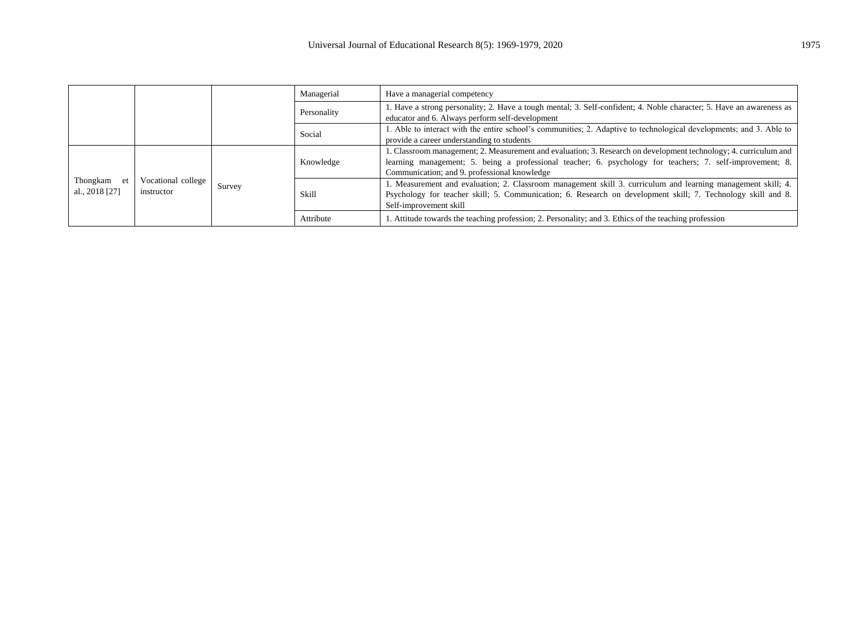|                               |                                  | Managerial | Have a managerial competency |                                                                                                                                                                                                                                                                               |
|-------------------------------|----------------------------------|------------|------------------------------|-------------------------------------------------------------------------------------------------------------------------------------------------------------------------------------------------------------------------------------------------------------------------------|
|                               |                                  |            | Personality                  | 1. Have a strong personality; 2. Have a tough mental; 3. Self-confident; 4. Noble character; 5. Have an awareness as<br>educator and 6. Always perform self-development                                                                                                       |
|                               |                                  |            | Social                       | 1. Able to interact with the entire school's communities; 2. Adaptive to technological developments; and 3. Able to<br>provide a career understanding to students                                                                                                             |
| Thongkam et<br>al., 2018 [27] | Vocational college<br>instructor | Survey     | Knowledge                    | 1. Classroom management; 2. Measurement and evaluation; 3. Research on development technology; 4. curriculum and<br>learning management; 5. being a professional teacher; 6. psychology for teachers; 7. self-improvement; 8.<br>Communication; and 9. professional knowledge |
|                               |                                  |            | Skill                        | 1. Measurement and evaluation; 2. Classroom management skill 3. curriculum and learning management skill; 4.<br>Psychology for teacher skill; 5. Communication; 6. Research on development skill; 7. Technology skill and 8.<br>Self-improvement skill                        |
|                               |                                  |            | Attribute                    | 1. Attitude towards the teaching profession; 2. Personality; and 3. Ethics of the teaching profession                                                                                                                                                                         |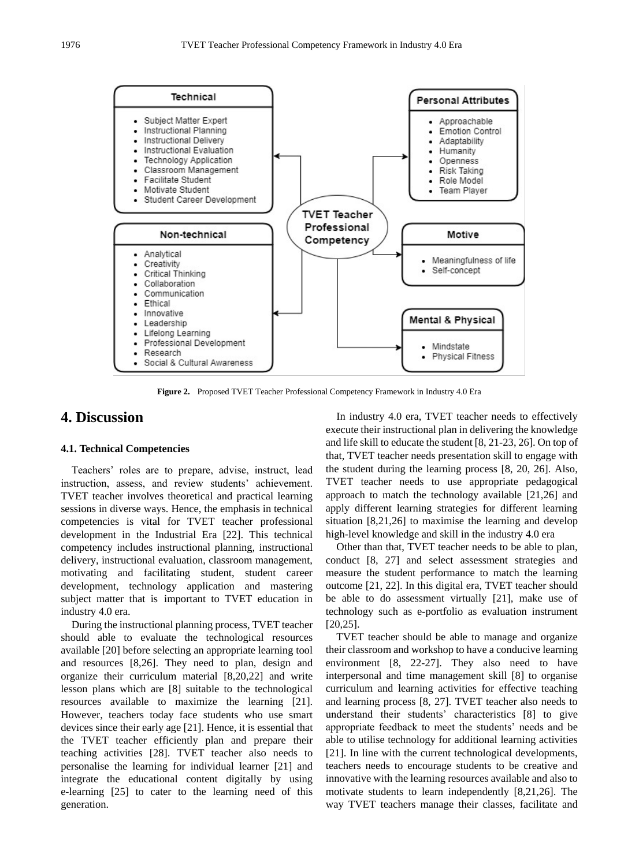

**Figure 2.** Proposed TVET Teacher Professional Competency Framework in Industry 4.0 Era

# **4. Discussion**

#### **4.1. Technical Competencies**

Teachers' roles are to prepare, advise, instruct, lead instruction, assess, and review students' achievement. TVET teacher involves theoretical and practical learning sessions in diverse ways. Hence, the emphasis in technical competencies is vital for TVET teacher professional development in the Industrial Era [22]. This technical competency includes instructional planning, instructional delivery, instructional evaluation, classroom management, motivating and facilitating student, student career development, technology application and mastering subject matter that is important to TVET education in industry 4.0 era.

During the instructional planning process, TVET teacher should able to evaluate the technological resources available [20] before selecting an appropriate learning tool and resources [8,26]. They need to plan, design and organize their curriculum material [8,20,22] and write lesson plans which are [8] suitable to the technological resources available to maximize the learning [21]. However, teachers today face students who use smart devices since their early age [21]. Hence, it is essential that the TVET teacher efficiently plan and prepare their teaching activities [28]. TVET teacher also needs to personalise the learning for individual learner [21] and integrate the educational content digitally by using e-learning [25] to cater to the learning need of this generation.

In industry 4.0 era, TVET teacher needs to effectively execute their instructional plan in delivering the knowledge and life skill to educate the student [8, 21-23, 26]. On top of that, TVET teacher needs presentation skill to engage with the student during the learning process [8, 20, 26]. Also, TVET teacher needs to use appropriate pedagogical approach to match the technology available [21,26] and apply different learning strategies for different learning situation [8,21,26] to maximise the learning and develop high-level knowledge and skill in the industry 4.0 era

Other than that, TVET teacher needs to be able to plan, conduct [8, 27] and select assessment strategies and measure the student performance to match the learning outcome [21, 22]. In this digital era, TVET teacher should be able to do assessment virtually [21], make use of technology such as e-portfolio as evaluation instrument [20,25].

TVET teacher should be able to manage and organize their classroom and workshop to have a conducive learning environment [8, 22-27]. They also need to have interpersonal and time management skill [8] to organise curriculum and learning activities for effective teaching and learning process [8, 27]. TVET teacher also needs to understand their students' characteristics [8] to give appropriate feedback to meet the students' needs and be able to utilise technology for additional learning activities [21]. In line with the current technological developments, teachers needs to encourage students to be creative and innovative with the learning resources available and also to motivate students to learn independently [8,21,26]. The way TVET teachers manage their classes, facilitate and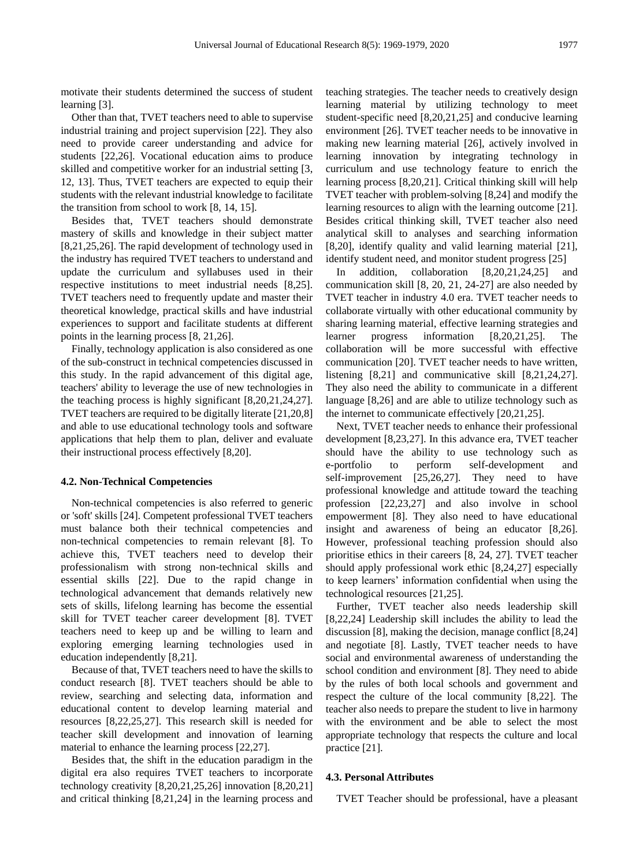motivate their students determined the success of student learning [3].

Other than that, TVET teachers need to able to supervise industrial training and project supervision [22]. They also need to provide career understanding and advice for students [22,26]. Vocational education aims to produce skilled and competitive worker for an industrial setting [3, 12, 13]. Thus, TVET teachers are expected to equip their students with the relevant industrial knowledge to facilitate the transition from school to work [8, 14, 15].

Besides that, TVET teachers should demonstrate mastery of skills and knowledge in their subject matter [8,21,25,26]. The rapid development of technology used in the industry has required TVET teachers to understand and update the curriculum and syllabuses used in their respective institutions to meet industrial needs [8,25]. TVET teachers need to frequently update and master their theoretical knowledge, practical skills and have industrial experiences to support and facilitate students at different points in the learning process [8, 21,26].

Finally, technology application is also considered as one of the sub-construct in technical competencies discussed in this study. In the rapid advancement of this digital age, teachers' ability to leverage the use of new technologies in the teaching process is highly significant [8,20,21,24,27]. TVET teachers are required to be digitally literate [21,20,8] and able to use educational technology tools and software applications that help them to plan, deliver and evaluate their instructional process effectively [8,20].

#### **4.2. Non-Technical Competencies**

Non-technical competencies is also referred to generic or 'soft' skills [24]. Competent professional TVET teachers must balance both their technical competencies and non-technical competencies to remain relevant [8]. To achieve this, TVET teachers need to develop their professionalism with strong non-technical skills and essential skills [22]. Due to the rapid change in technological advancement that demands relatively new sets of skills, lifelong learning has become the essential skill for TVET teacher career development [8]. TVET teachers need to keep up and be willing to learn and exploring emerging learning technologies used in education independently [8,21].

Because of that, TVET teachers need to have the skills to conduct research [8]. TVET teachers should be able to review, searching and selecting data, information and educational content to develop learning material and resources [8,22,25,27]. This research skill is needed for teacher skill development and innovation of learning material to enhance the learning process [22,27].

Besides that, the shift in the education paradigm in the digital era also requires TVET teachers to incorporate technology creativity [8,20,21,25,26] innovation [8,20,21] and critical thinking [8,21,24] in the learning process and

teaching strategies. The teacher needs to creatively design learning material by utilizing technology to meet student-specific need [8,20,21,25] and conducive learning environment [26]. TVET teacher needs to be innovative in making new learning material [26], actively involved in learning innovation by integrating technology in curriculum and use technology feature to enrich the learning process [8,20,21]. Critical thinking skill will help TVET teacher with problem-solving [8,24] and modify the learning resources to align with the learning outcome [21]. Besides critical thinking skill, TVET teacher also need analytical skill to analyses and searching information [8,20], identify quality and valid learning material [21], identify student need, and monitor student progress [25]

In addition, collaboration [8,20,21,24,25] and communication skill [8, 20, 21, 24-27] are also needed by TVET teacher in industry 4.0 era. TVET teacher needs to collaborate virtually with other educational community by sharing learning material, effective learning strategies and learner progress information [8,20,21,25]. The collaboration will be more successful with effective communication [20]. TVET teacher needs to have written, listening [8,21] and communicative skill [8,21,24,27]. They also need the ability to communicate in a different language [8,26] and are able to utilize technology such as the internet to communicate effectively [20,21,25].

Next, TVET teacher needs to enhance their professional development [8,23,27]. In this advance era, TVET teacher should have the ability to use technology such as e-portfolio to perform self-development and self-improvement [25,26,27]. They need to have professional knowledge and attitude toward the teaching profession [22,23,27] and also involve in school empowerment [8]. They also need to have educational insight and awareness of being an educator [8,26]. However, professional teaching profession should also prioritise ethics in their careers [8, 24, 27]. TVET teacher should apply professional work ethic [8,24,27] especially to keep learners' information confidential when using the technological resources [21,25].

Further, TVET teacher also needs leadership skill [8,22,24] Leadership skill includes the ability to lead the discussion [8], making the decision, manage conflict [8,24] and negotiate [8]. Lastly, TVET teacher needs to have social and environmental awareness of understanding the school condition and environment [8]. They need to abide by the rules of both local schools and government and respect the culture of the local community [8,22]. The teacher also needs to prepare the student to live in harmony with the environment and be able to select the most appropriate technology that respects the culture and local practice [21].

#### **4.3. Personal Attributes**

TVET Teacher should be professional, have a pleasant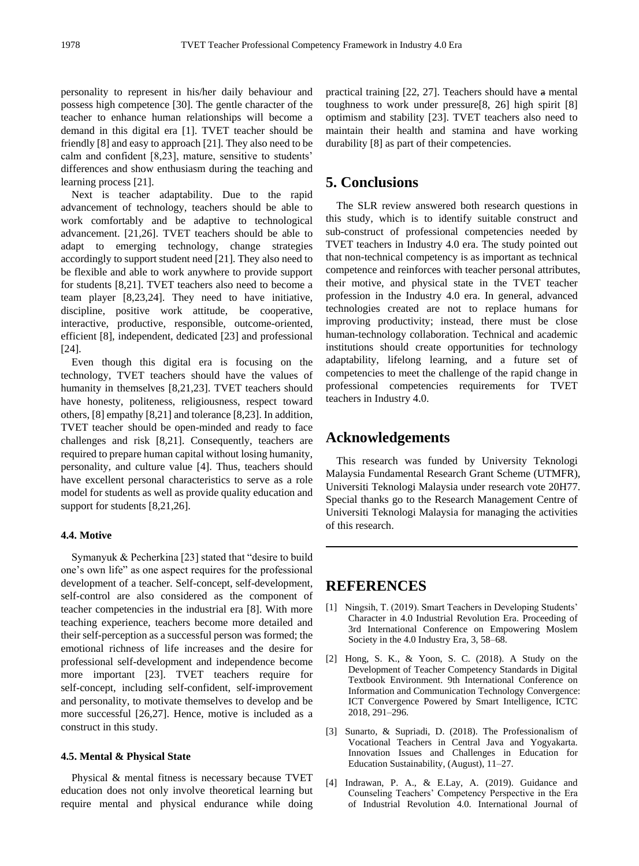personality to represent in his/her daily behaviour and possess high competence [30]. The gentle character of the teacher to enhance human relationships will become a demand in this digital era [1]. TVET teacher should be friendly [8] and easy to approach [21]. They also need to be calm and confident [8,23], mature, sensitive to students' differences and show enthusiasm during the teaching and learning process [21].

Next is teacher adaptability. Due to the rapid advancement of technology, teachers should be able to work comfortably and be adaptive to technological advancement. [21,26]. TVET teachers should be able to adapt to emerging technology, change strategies accordingly to support student need [21]. They also need to be flexible and able to work anywhere to provide support for students [8,21]. TVET teachers also need to become a team player [8,23,24]. They need to have initiative, discipline, positive work attitude, be cooperative, interactive, productive, responsible, outcome-oriented, efficient [8], independent, dedicated [23] and professional [24].

Even though this digital era is focusing on the technology, TVET teachers should have the values of humanity in themselves [8,21,23]. TVET teachers should have honesty, politeness, religiousness, respect toward others, [8] empathy [8,21] and tolerance [8,23]. In addition, TVET teacher should be open-minded and ready to face challenges and risk [8,21]. Consequently, teachers are required to prepare human capital without losing humanity, personality, and culture value [4]. Thus, teachers should have excellent personal characteristics to serve as a role model for students as well as provide quality education and support for students [8,21,26].

#### **4.4. Motive**

Symanyuk & Pecherkina [23] stated that "desire to build" one's own life" as one aspect requires for the professional development of a teacher. Self-concept, self-development, self-control are also considered as the component of teacher competencies in the industrial era [8]. With more teaching experience, teachers become more detailed and their self-perception as a successful person was formed; the emotional richness of life increases and the desire for professional self-development and independence become more important [23]. TVET teachers require for self-concept, including self-confident, self-improvement and personality, to motivate themselves to develop and be more successful [26,27]. Hence, motive is included as a construct in this study.

#### **4.5. Mental & Physical State**

Physical & mental fitness is necessary because TVET education does not only involve theoretical learning but require mental and physical endurance while doing practical training [22, 27]. Teachers should have a mental toughness to work under pressure[8, 26] high spirit [8] optimism and stability [23]. TVET teachers also need to maintain their health and stamina and have working durability [8] as part of their competencies.

### **5. Conclusions**

The SLR review answered both research questions in this study, which is to identify suitable construct and sub-construct of professional competencies needed by TVET teachers in Industry 4.0 era. The study pointed out that non-technical competency is as important as technical competence and reinforces with teacher personal attributes, their motive, and physical state in the TVET teacher profession in the Industry 4.0 era. In general, advanced technologies created are not to replace humans for improving productivity; instead, there must be close human-technology collaboration. Technical and academic institutions should create opportunities for technology adaptability, lifelong learning, and a future set of competencies to meet the challenge of the rapid change in professional competencies requirements for TVET teachers in Industry 4.0.

# **Acknowledgements**

This research was funded by University Teknologi Malaysia Fundamental Research Grant Scheme (UTMFR), Universiti Teknologi Malaysia under research vote 20H77. Special thanks go to the Research Management Centre of Universiti Teknologi Malaysia for managing the activities of this research.

## **REFERENCES**

- [1] Ningsih, T. (2019). Smart Teachers in Developing Students' Character in 4.0 Industrial Revolution Era. Proceeding of 3rd International Conference on Empowering Moslem Society in the 4.0 Industry Era, 3, 58–68.
- [2] Hong, S. K., & Yoon, S. C. (2018). A Study on the Development of Teacher Competency Standards in Digital Textbook Environment. 9th International Conference on Information and Communication Technology Convergence: ICT Convergence Powered by Smart Intelligence, ICTC 2018, 291–296.
- [3] Sunarto, & Supriadi, D. (2018). The Professionalism of Vocational Teachers in Central Java and Yogyakarta. Innovation Issues and Challenges in Education for Education Sustainability, (August), 11–27.
- [4] Indrawan, P. A., & E.Lay, A. (2019). Guidance and Counseling Teachers' Competency Perspective in the Era of Industrial Revolution 4.0. International Journal of